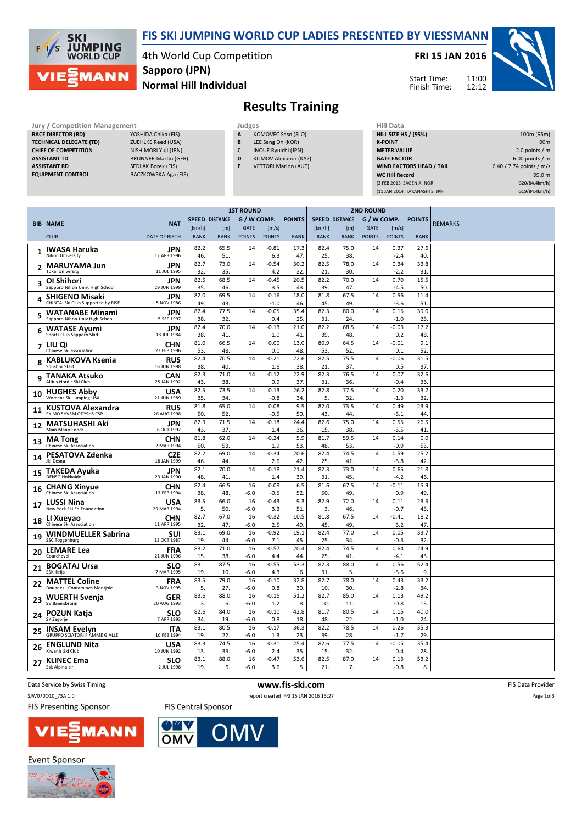

Jury / Competition Management<br>RACE DIRECTOR (RD) YOSHIDA Chika (F

## FIS SKI JUMPING WORLD CUP LADIES PRESENTED BY VIESSMANN

4th World Cup Competition Normal Hill Individual Sapporo (JPN)

FRI 15 JAN 2016

Start Time: Finish Time: 11:00



## Results Training

| Jury / Competition Management  |                             |   | Judges                      | Hill Data                       |                            |  |  |
|--------------------------------|-----------------------------|---|-----------------------------|---------------------------------|----------------------------|--|--|
| <b>RACE DIRECTOR (RD)</b>      | YOSHIDA Chika (FIS)         | A | KOMOVEC Saso (SLO)          | <b>HILL SIZE HS / (95%)</b>     | 100m (95m)                 |  |  |
| <b>TECHNICAL DELEGATE (TD)</b> | <b>ZUEHLKE Reed (USA)</b>   | B | LEE Sang Oh (KOR)           | <b>K-POINT</b>                  | 90 <sub>m</sub>            |  |  |
| <b>CHIEF OF COMPETITION</b>    | NISHIMORI Yuji (JPN)        | L | INOUE Ryuichi (JPN)         | <b>METER VALUE</b>              | 2.0 points $/m$            |  |  |
| <b>ASSISTANT TD</b>            | <b>BRUNNER Martin (GER)</b> | D | KLIMOV Alexandr (KAZ)       | <b>GATE FACTOR</b>              | 6.00 points $/m$           |  |  |
| <b>ASSISTANT RD</b>            | SEDLAK Borek (FIS)          |   | <b>VETTORI Marion (AUT)</b> | <b>WIND FACTORS HEAD / TAIL</b> | 6.40 / 7.74 points / $m/s$ |  |  |
| <b>EQUIPMENT CONTROL</b>       | BACZKOWSKA Aga (FIS)        |   |                             | <b>WC Hill Record</b>           | 99.0 m                     |  |  |
|                                |                             |   |                             | (3 FEB 2013 SAGEN A. NOR        | G20/84.4km/h)              |  |  |
|                                |                             |   |                             | (11 JAN 2014 TAKANASHI S. JPN   | G19/84.4km/h)              |  |  |

|    |                                                              |                           | <b>1ST ROUND</b> |                |               | <b>2ND ROUND</b>  |               |                       |             |               |                |                  |                |
|----|--------------------------------------------------------------|---------------------------|------------------|----------------|---------------|-------------------|---------------|-----------------------|-------------|---------------|----------------|------------------|----------------|
|    |                                                              |                           |                  | SPEED DISTANCE | G / W COMP.   |                   | <b>POINTS</b> | <b>SPEED DISTANCE</b> |             |               |                | G/W COMP. POINTS |                |
|    | <b>BIB NAME</b>                                              | <b>NAT</b>                | [km/h]           | [m]            | <b>GATE</b>   | [m/s]             |               | [km/h]                | [m]         | <b>GATE</b>   | [m/s]          |                  | <b>REMARKS</b> |
|    | <b>CLUB</b>                                                  | <b>DATE OF BIRTH</b>      | <b>RANK</b>      | <b>RANK</b>    | <b>POINTS</b> | <b>POINTS</b>     | <b>RANK</b>   | <b>RANK</b>           | <b>RANK</b> | <b>POINTS</b> | <b>POINTS</b>  | <b>RANK</b>      |                |
| 1  | <b>IWASA Haruka</b>                                          | <b>JPN</b>                | 82.2             | 65.5           | 14            | $-0.81$           | 17.3          | 82.4                  | 75.0        | 14            | 0.37           | 27.6             |                |
|    | Nihon University                                             | 12 APR 1996               | 46.              | 51             |               | 6.3               | 47.           | 25.                   | 38.         |               | $-2.4$         | 40.              |                |
| 2  | <b>MARUYAMA Jun</b><br><b>Tokai University</b>               | JPN                       | 82.7             | 73.0           | 14            | $-0.54$           | 30.2          | 82.5                  | 78.0        | 14            | 0.34           | 33.8             |                |
|    |                                                              | 11 JUL 1995               | 32<br>82.5       | 35.<br>68.5    | 14            | 4.2<br>$-0.45$    | 32.<br>20.5   | 21.<br>82.2           | 30.<br>70.0 |               | $-2.2$<br>0.70 | 31<br>15.5       |                |
| 3  | <b>OI Shihori</b><br>Sapporo Nihon Univ. High School         | <b>JPN</b><br>29 JUN 1999 | 35               | 46.            |               | 3.5               | 43.           | 39.                   | 47.         | 14            | $-4.5$         | 50.              |                |
| 4  | <b>SHIGENO Misaki</b>                                        | JPN<br>5 NOV 1986         | 82.0             | 69.5           | 14            | 0.16              | 18.0          | 81.8                  | 67.5        | 14            | 0.56           | 11.4             |                |
|    | CHINTAI Ski Club Supported by RISE<br><b>WATANABE Minami</b> | JPN                       | 49<br>82.4       | 43.<br>77.5    | 14            | $-1.0$<br>$-0.05$ | 46.<br>35.4   | 45.<br>82.3           | 49.<br>80.0 | 14            | $-3.6$<br>0.15 | 51<br>39.0       |                |
|    | Sapporo Nihon Univ. High School                              | 5 SEP 1997                | 38               | 32.            |               | 0.4               | 25.           | 31.                   | 24.         |               | $-1.0$         | 25               |                |
| 6  | <b>WATASE Ayumi</b><br>Sports Club Sapporo Skid              | JPN<br>18 JUL 1984        | 82.4<br>38       | 70.0<br>41.    | 14            | $-0.13$<br>1.0    | 21.0<br>41.   | 82.2<br>39.           | 68.5<br>48. | 14            | $-0.03$<br>0.2 | 17.2<br>48.      |                |
|    | LIU Qi                                                       | <b>CHN</b>                | 81.0             | 66.5           | 14            | 0.00              | 13.0          | 80.9                  | 64.5        | 14            | $-0.01$        | 9.1              |                |
| 7  | Chinese Ski association                                      | 27 FEB 1996               | 53               | 48.            |               | 0.0               | 48.           | 53.                   | 52.         |               | 0.1            | 52               |                |
| 8  | <b>KABLUKOVA Ksenia</b>                                      | <b>RUS</b>                | 82.4             | 70.5           | 14            | $-0.21$           | 22.6          | 82.5                  | 75.5        | 14            | $-0.06$        | 31.5             |                |
|    | <b>Sdushor Start</b>                                         | 16 JUN 1998               | 38.              | 40.            |               | 1.6               | 38.           | 21.                   | 37.         |               | 0.5            | 37               |                |
| 9  | TANAKA Atsuko                                                | CAN                       | 82.3             | 71.0           | 14            | $-0.12$           | 22.9          | 82.3                  | 76.5        | 14            | 0.07           | 32.6             |                |
|    | Altius Nordic Ski Club                                       | 25 JAN 1992               | 43.<br>82.5      | 38.<br>73.5    | 14            | 0.9<br>0.13       | 37.<br>26.2   | 31.<br>82.8           | 36.<br>77.5 | 14            | $-0.4$<br>0.20 | 36<br>33.7       |                |
| 10 | <b>HUGHES Abby</b><br>Womens Ski Jumping USA                 | <b>USA</b><br>21 JUN 1989 | 35.              | 34.            |               | $-0.8$            | 34.           | 5.                    | 32.         |               | $-1.3$         | 32               |                |
|    | KUSTOVA Alexandra                                            | RUS                       | 81.8             | 65.0           | 14            | 0.08              | 9.5           | 82.0                  | 73.5        | 14            | 0.49           | 23.9             |                |
| 11 | SK MO SHVSM ODYSHS CSP                                       | 26 AUG 1998               | 50.              | 52.            |               | $-0.5$            | 50.           | 43.                   | 44.         |               | $-3.1$         | 44               |                |
| 12 | <b>MATSUHASHI Aki</b>                                        | JPN                       | 82.3             | 71.5           | 14            | $-0.18$           | 24.4          | 82.6                  | 75.0        | 14            | 0.55           | 26.5             |                |
|    | Main Mano Foods                                              | 6 OCT 1992                | 43.              | 37.            |               | 1.4               | 36.           | 15.                   | 38.         |               | $-3.5$         | 41               |                |
| 13 | <b>MA Tong</b><br>Chinese Ski Association                    | <b>CHN</b><br>2 MAR 1994  | 81.8             | 62.0           | 14            | $-0.24$           | 5.9           | 81.7                  | 59.5        | 14            | 0.14           | 0.0              |                |
|    |                                                              |                           | 50<br>82.2       | 53.<br>69.0    | 14            | 1.9<br>$-0.34$    | 53.<br>20.6   | 48.<br>82.4           | 53.<br>74.5 | 14            | $-0.9$<br>0.59 | 53<br>25.2       |                |
| 14 | PESATOVA Zdenka<br><b>JkI Desna</b>                          | <b>CZE</b><br>18 JAN 1999 | 46.              | 44.            |               | 2.6               | 42.           | 25.                   | 41.         |               | $-3.8$         | 42               |                |
|    | TAKEDA Ayuka                                                 | JPN                       | 82.1             | 70.0           | 14            | $-0.18$           | 21.4          | 82.3                  | 73.0        | 14            | 0.65           | 21.8             |                |
| 15 | <b>DENSO Hokkaido</b>                                        | 23 JAN 1990               | 48               | 41             |               | 1.4               | 39.           | 31.                   | 45.         |               | $-4.2$         | 46               |                |
| 16 | <b>CHANG Xinyue</b>                                          | <b>CHN</b>                | 82.4             | 66.5           | 16            | 0.08              | 6.5           | 81.6                  | 67.5        | 14            | $-0.11$        | 15.9             |                |
|    | <b>Chinese Ski Association</b>                               | 13 FEB 1994               | 38<br>83.5       | 48.<br>66.0    | $-6.0$<br>16  | $-0.5$<br>$-0.43$ | 52.<br>9.3    | 50.<br>82.9           | 49.<br>72.0 | 14            | 0.9<br>0.11    | 49<br>23.3       |                |
| 17 | <b>LUSSI Nina</b><br>New York Ski Ed Foundation              | <b>USA</b><br>29 MAR 1994 | 5.               | 50.            | $-6.0$        | 3.3               | 51.           | 3.                    | 46.         |               | $-0.7$         | 45               |                |
|    |                                                              | <b>CHN</b>                | 82.7             | 67.0           | 16            | $-0.32$           | 10.5          | 81.8                  | 67.5        | 14            | $-0.41$        | 18.2             |                |
| 18 | LI Xueyao<br><b>Chinese Ski Association</b>                  | 11 APR 1995               | 32               | 47.            | $-6.0$        | 2.5               | 49.           | 45.                   | 49.         |               | 3.2            | 47               |                |
|    | <b>WINDMUELLER Sabrina</b>                                   | <b>SUI</b>                | 83.1             | 69.0           | 16            | $-0.92$           | 19.1          | 82.4                  | 77.0        | 14            | 0.05           | 33.7             |                |
| 19 | <b>SSC Toggenburg</b>                                        | 13 OCT 1987               | 19.              | 44.            | $-6.0$        | 7.1               | 45.           | 25.                   | 34.         |               | $-0.3$         | 32               |                |
|    | 20 LEMARE Lea<br>Courchevel                                  | <b>FRA</b><br>21 JUN 1996 | 83.2<br>15.      | 71.0<br>38.    | 16<br>$-6.0$  | $-0.57$<br>4.4    | 20.4<br>44.   | 82.4<br>25.           | 74.5<br>41  | 14            | 0.64<br>$-4.1$ | 24.9<br>43       |                |
|    |                                                              |                           | 83.1             | 87.5           | 16            | $-0.55$           | 53.3          | 82.3                  | 88.0        | 14            | 0.56           | 52.4             |                |
| 21 | <b>BOGATAJ Ursa</b><br><b>SSK Ilirija</b>                    | <b>SLO</b><br>7 MAR 1995  | 19.              | 10.            | -6.0          | 4.3               | 6.            | 31.                   | 5.          |               | $-3.6$         | 9.               |                |
| 22 | <b>MATTEL Coline</b>                                         | <b>FRA</b>                | 83.5             | 79.0           | 16            | $-0.10$           | 32.8          | 82.7                  | 78.0        | 14            | 0.43           | 33.2             |                |
|    | Douanes - Contamines Montjoie                                | 3 NOV 1995                | 5.               | 27.            | $-6.0$        | 0.8               | 30.           | 10.                   | 30.         |               | $-2.8$         | 34               |                |
| 23 | <b>WUERTH Svenja</b><br>SV Baiersbronn                       | GER<br>20 AUG 1993        | 83.6<br>3.       | 88.0<br>6.     | 16<br>$-6.0$  | $-0.16$<br>1.2    | 51.2<br>8.    | 82.7<br>10.           | 85.0<br>11. | 14            | 0.13<br>$-0.8$ | 49.2<br>13       |                |
|    |                                                              |                           | 82.6             | 84.0           | 16            | $-0.10$           | 42.8          | 81.7                  | 80.5        | 14            | 0.15           | 40.0             |                |
| 24 | <b>POZUN Katja</b><br>SK Zagorje                             | <b>SLO</b><br>7 APR 1993  | 34               | 19.            | -6.0          | 0.8               | 18.           | 48.                   | 22.         |               | $-1.0$         | 24               |                |
| 25 | <b>INSAM Evelyn</b>                                          | ITA                       | 83.1             | 80.5           | 16            | $-0.17$           | 36.3          | 82.2                  | 78.5        | 14            | 0.26           | 35.3             |                |
|    | GRUPPO SCIATORI FIAMME GIALLE                                | 10 FEB 1994               | 19.              | 22.            | -6.0          | 1.3               | 23.           | 39.                   | 28.         |               | -1.7           | 29               |                |
| 26 | <b>ENGLUND Nita</b>                                          | <b>USA</b>                | 83.3             | 74.5           | 16            | $-0.31$           | 25.4          | 82.6                  | 77.5        | 14            | $-0.05$        | 35.4             |                |
|    | Kiwanis Ski Club                                             | 10 JUN 1992               | 13.<br>83.1      | 33.<br>88.0    | $-6.0$<br>16  | 2.4<br>$-0.47$    | 35.<br>53.6   | 15.<br>82.5           | 32.<br>87.0 | 14            | 0.4<br>0.13    | 28<br>53.2       |                |
|    | 27 KLINEC Ema<br>Ssk Alpina ziri                             | <b>SLO</b><br>2 JUL 1998  | 19.              | 6.             | $-6.0$        | 3.6               | 5.            | 21.                   | 7.          |               | $-0.8$         | 8.               |                |
|    |                                                              |                           |                  |                |               |                   |               |                       |             |               |                |                  |                |

Data Service by Swiss Timing **EXECUTE:** The Service by Swiss Timing FIS Data Provider



Page 1of3

**FIS Presenting Sponsor** 





**FIS Central Sponsor** 

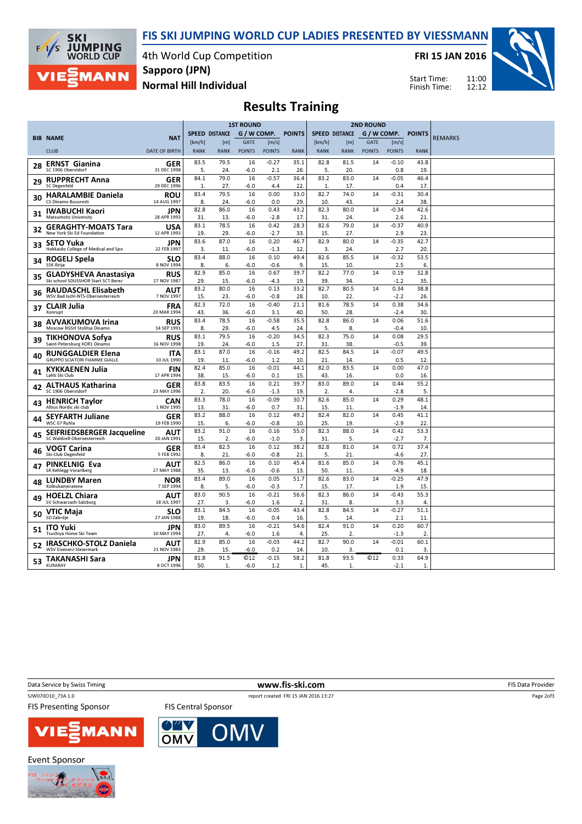FIS SKI JUMPING WORLD CUP LADIES PRESENTED BY VIESSMANN



4th World Cup Competition Normal Hill Individual Sapporo (JPN)

FRI 15 JAN 2016



Start Time: Finish Time:

## Results Training

|    |                                                        |                           | <b>1ST ROUND</b>      |              |               | <b>2ND ROUND</b> |                |                       |                  |               |                    |                |                |
|----|--------------------------------------------------------|---------------------------|-----------------------|--------------|---------------|------------------|----------------|-----------------------|------------------|---------------|--------------------|----------------|----------------|
|    | <b>BIB NAME</b>                                        | <b>NAT</b>                | <b>SPEED DISTANCE</b> |              | G / W COMP.   |                  | <b>POINTS</b>  | <b>SPEED DISTANCE</b> |                  |               | G / W COMP. POINTS |                | <b>REMARKS</b> |
|    |                                                        |                           | [km/h]                | [m]          | <b>GATE</b>   | [m/s]            |                | [km/h]                | [ <sub>m</sub> ] | <b>GATE</b>   | [m/s]              |                |                |
|    | <b>CLUB</b>                                            | <b>DATE OF BIRTH</b>      | <b>RANK</b>           | <b>RANK</b>  | <b>POINTS</b> | <b>POINTS</b>    | <b>RANK</b>    | <b>RANK</b>           | <b>RANK</b>      | <b>POINTS</b> | <b>POINTS</b>      | <b>RANK</b>    |                |
| 28 | <b>ERNST Gianina</b><br>SC 1906 Oberstdorf             | GER<br>31 DEC 1998        | 83.5<br>5.            | 79.5<br>24   | 16<br>$-6.0$  | $-0.27$<br>2.1   | 35.1<br>26.    | 82.8<br>5.            | 81.5<br>20.      | 14            | $-0.10$<br>0.8     | 43.8<br>19.    |                |
|    |                                                        | GER                       | 84.1                  | 79.0         | 16            | $-0.57$          | 36.4           | 83.2                  | 83.0             | 14            | $-0.05$            | 46.4           |                |
| 29 | <b>RUPPRECHT Anna</b><br><b>SC Degenfeld</b>           | 29 DEC 1996               | $\mathbf{1}$          | 27.          | $-6.0$        | 4.4              | 22.            | $\mathbf{1}$          | 17.              |               | 0.4                | 17.            |                |
| 30 | <b>HARALAMBIE Daniela</b>                              | ROU                       | 83.4                  | 79.5         | 16            | 0.00             | 33.0           | 82.7                  | 74.0             | 14            | $-0.31$            | 30.4           |                |
|    | CS Dinamo Bucuresti                                    | 14 AUG 1997               | 8.                    | 24.          | $-6.0$        | 0.0              | 29.            | 10.                   | 43.              |               | 2.4                | 38.            |                |
| 31 | <b>IWABUCHI Kaori</b><br><b>Matsumoto University</b>   | JPN<br>28 APR 1993        | 82.8<br>31.           | 86.0<br>13.  | 16<br>$-6.0$  | 0.43<br>$-2.8$   | 43.2<br>17.    | 82.3<br>31            | 80.0<br>24.      | 14            | $-0.34$<br>2.6     | 42.6<br>21.    |                |
| 32 | <b>GERAGHTY-MOATS Tara</b>                             | USA                       | 83.1                  | 78.5         | 16            | 0.42             | 28.3           | 82.6                  | 79.0             | 14            | $-0.37$            | 40.9           |                |
|    | New York Ski Ed Foundation                             | 12 APR 1993               | 19.                   | 29.          | $-6.0$        | $-2.7$           | 33.            | 15.                   | 27.              |               | 2.9                | 23.            |                |
| 33 | <b>SETO Yuka</b>                                       | JPN                       | 83.6                  | 87.0         | 16            | 0.20             | 46.7           | 82.9                  | 80.0             | 14            | $-0.35$            | 42.7           |                |
|    | Hokkaido College of Medical and Spo                    | 22 FEB 1997               | 3.                    | 11.<br>88.0  | $-6.0$<br>16  | $-1.3$<br>0.10   | 12.            | 3.<br>82.6            | 24.<br>85.5      | 14            | 2.7<br>$-0.32$     | 20.<br>53.5    |                |
| 34 | ROGELJ Spela<br><b>SSK Ilirija</b>                     | <b>SLO</b><br>8 NOV 1994  | 83.4<br>8.            | 6.           | $-6.0$        | $-0.6$           | 49.4<br>9.     | 15.                   | 10.              |               | 2.5                | 6.             |                |
|    | <b>GLADYSHEVA Anastasiva</b>                           | <b>RUS</b>                | 82.9                  | 85.0         | 16            | 0.67             | 39.7           | 82.2                  | 77.0             | 14            | 0.19               | 32.8           |                |
| 35 | Ski school SDUSSHOR Start SCT Berez                    | 27 NOV 1987               | 29.                   | 15.          | $-6.0$        | $-4.3$           | 19.            | 39.                   | 34.              |               | $-1.2$             | 35.            |                |
| 36 | RAUDASCHL Elisabeth                                    | AUT                       | 83.2                  | 80.0         | 16            | 0.13             | 33.2           | 82.7                  | 80.5             | 14            | 0.34               | 38.8           |                |
|    | WSV Bad Ischl-NTS-Oberoesterreich                      | 7 NOV 1997                | 15.                   | 23.          | $-6.0$        | $-0.8$           | 28.            | 10.                   | 22.              |               | $-2.2$             | 26.            |                |
| 37 | <b>CLAIR Julia</b>                                     | <b>FRA</b>                | 82.3                  | 72.0         | 16            | $-0.40$          | 21.1           | 81.6                  | 78.5             | 14            | 0.38               | 34.6           |                |
|    | Xonrupt                                                | 20 MAR 1994               | 43.                   | 36.          | $-6.0$        | 3.1              | 40.            | 50.                   | 28.              |               | $-2.4$             | 30.            |                |
| 38 | <b>AVVAKUMOVA Irina</b><br>Moscow RGSH Stolitsa Dinamo | <b>RUS</b><br>14 SEP 1991 | 83.4<br>8.            | 78.5<br>29.  | 16<br>$-6.0$  | $-0.58$<br>4.5   | 35.5<br>24.    | 82.8<br>5.            | 86.0<br>8.       | 14            | 0.06<br>$-0.4$     | 51.6<br>10.    |                |
|    |                                                        | <b>RUS</b>                | 83.1                  | 79.5         | 16            | $-0.20$          | 34.5           | 82.3                  | 75.0             | 14            | 0.08               | 29.5           |                |
| 39 | <b>TIKHONOVA Sofya</b><br>Saint-Petersburg KOR1 Dinamo | 16 NOV 1998               | 19.                   | 24.          | $-6.0$        | 1.5              | 27.            | 31                    | 38.              |               | $-0.5$             | 39             |                |
|    | <b>RUNGGALDIER Elena</b>                               | <b>ITA</b>                | 83.1                  | 87.0         | 16            | $-0.16$          | 49.2           | 82.5                  | 84.5             | 14            | $-0.07$            | 49.5           |                |
| 40 | <b>GRUPPO SCIATORI FIAMME GIALLE</b>                   | 10 JUL 1990               | 19.                   | 11.          | $-6.0$        | 1.2              | 10.            | 21.                   | 14.              |               | 0.5                | 12.            |                |
| 41 | <b>KYKKAENEN Julia</b>                                 | <b>FIN</b>                | 82.4                  | 85.0         | 16            | $-0.01$          | 44.1           | 82.0                  | 83.5             | 14            | 0.00               | 47.0           |                |
|    | Lahti Ski Club                                         | 17 APR 1994               | 38.                   | 15.          | $-6.0$        | 0.1              | 15.            | 43.                   | 16.              |               | 0.0                | 16.            |                |
| 42 | <b>ALTHAUS Katharina</b><br>SC 1906 Oberstdorf         | GER<br>23 MAY 1996        | 83.8<br>2.            | 83.5<br>20.  | 16<br>$-6.0$  | 0.21<br>$-1.3$   | 39.7<br>19.    | 83.0<br>2.            | 89.0<br>4.       | 14            | 0.44               | 55.2<br>5      |                |
|    |                                                        |                           | 83.3                  | 78.0         | 16            | $-0.09$          | 30.7           | 82.6                  | 85.0             | 14            | $-2.8$<br>0.29     | 48.1           |                |
| 43 | <b>HENRICH Taylor</b><br>Altius Nordic ski club        | <b>CAN</b><br>1 NOV 1995  | 13.                   | 31           | $-6.0$        | 0.7              | 31.            | 15.                   | 11.              |               | $-1.9$             | 14.            |                |
|    | <b>SEYFARTH Juliane</b>                                | GER                       | 83.2                  | 88.0         | 16            | 0.12             | 49.2           | 82.4                  | 82.0             | 14            | 0.45               | 41.1           |                |
| 44 | WSC 07 Ruhla                                           | 19 FEB 1990               | 15                    | 6.           | $-6.0$        | $-0.8$           | 10.            | 25.                   | 19.              |               | $-2.9$             | 22             |                |
| 45 | <b>SEIFRIEDSBERGER Jacqueline</b>                      | <b>AUT</b>                | 83.2                  | 91.0         | 16            | 0.16             | 55.0           | 82.3                  | 88.0             | 14            | 0.42               | 53.3           |                |
|    | SC Waldzell-Oberoesterreich                            | 20 JAN 1991               | 15.                   | 2.           | $-6.0$        | $-1.0$           | 3.             | 31.                   | 5.               |               | $-2.7$             | 7.             |                |
| 46 | <b>VOGT Carina</b><br>Ski-Club Degenfeld               | GER<br>5 FEB 1992         | 83.4<br>8.            | 82.5<br>21   | 16<br>$-6.0$  | 0.12<br>$-0.8$   | 38.2<br>21.    | 82.8<br>5.            | 81.0<br>21.      | 14            | 0.72<br>-4.6       | 37.4<br>27.    |                |
|    |                                                        | AUT                       | 82.5                  | 86.0         | 16            | 0.10             | 45.4           | 81.6                  | 85.0             | 14            | 0.76               | 45.1           |                |
| 47 | <b>PINKELNIG Eva</b><br>SK Kehlegg-Vorarlberg          | 27 MAY 1988               | 35.                   | 13.          | $-6.0$        | $-0.6$           | 13.            | 50.                   | 11.              |               | $-4.9$             | 18.            |                |
|    | <b>LUNDBY Maren</b>                                    | <b>NOR</b>                | 83.4                  | 89.0         | 16            | 0.05             | 51.7           | 82.6                  | 83.0             | 14            | $-0.25$            | 47.9           |                |
| 48 | Kolbukameratene                                        | 7 SEP 1994                | 8.                    | 5.           | $-6.0$        | $-0.3$           | 7 <sub>1</sub> | 15.                   | 17.              |               | 1.9                | 15             |                |
| 49 | <b>HOELZL Chiara</b>                                   | AUT                       | 83.0                  | 90.5         | 16            | $-0.21$          | 56.6           | 82.3                  | 86.0             | 14            | $-0.43$            | 55.3           |                |
|    | SV Schwarzach-Salzburg                                 | 18 JUL 1997               | 27.                   | 3.           | $-6.0$        | 1.6              | 2.             | 31.                   | 8.               |               | 3.3                | 4.             |                |
| 50 | <b>VTIC Maja</b><br>SD Zabrdje                         | <b>SLO</b><br>27 JAN 1988 | 83.1<br>19.           | 84.5<br>18.  | 16<br>$-6.0$  | $-0.05$<br>0.4   | 43.4           | 82.8<br>5.            | 84.5<br>14.      | 14            | $-0.27$            | 51.1<br>11     |                |
|    |                                                        | <b>JPN</b>                | 83.0                  | 89.5         | 16            | $-0.21$          | 16.<br>54.6    | 82.4                  | 91.0             | 14            | 2.1<br>0.20        | 60.7           |                |
| 51 | <b>ITO Yuki</b><br>Tsuchiya Home Ski Team              | 10 MAY 1994               | 27.                   | 4.           | $-6.0$        | 1.6              | 4.             | 25.                   | 2.               |               | $-1.3$             | $\overline{2}$ |                |
|    | IRASCHKO-STOLZ Daniela                                 | AUT                       | 82.9                  | 85.0         | 16            | $-0.03$          | 44.2           | 82.7                  | 90.0             | 14            | $-0.01$            | 60.1           |                |
| 52 | WSV Eisenerz-Steiermark                                | 21 NOV 1983               | 29                    | 15.          | $-6.0$        | 0.2              | 14.            | 10.                   | 3.               |               | 0.1                | 3.             |                |
|    | 53 TAKANASHI Sara                                      | <b>JPN</b>                | 81.8                  | 91.5         | ©12           | $-0.15$          | 58.2           | 81.8                  | 93.5             | <b>C12</b>    | 0.33               | 64.9           |                |
|    | KURARAY                                                | 8 OCT 1996                | 50.                   | $\mathbf{1}$ | $-6.0$        | 1.2              | 1.             | 45.                   | $\mathbf{1}$     |               | $-2.1$             | $\mathbf{1}$   |                |

Data Service by Swiss Timing **EXECUTE:** The Contract of the Contract of the Contract of the Contract of the Contract of the Contract of the Contract of the Contract of the Contract of the Contract of the Contract of the Co

SJW070O10\_73A 1.0 report created FRI 15 JAN 2016 13:27

**FIS Presenting Sponsor** 





**FIS Central Sponsor** 

**Event Sponsor** 



Page 2of3